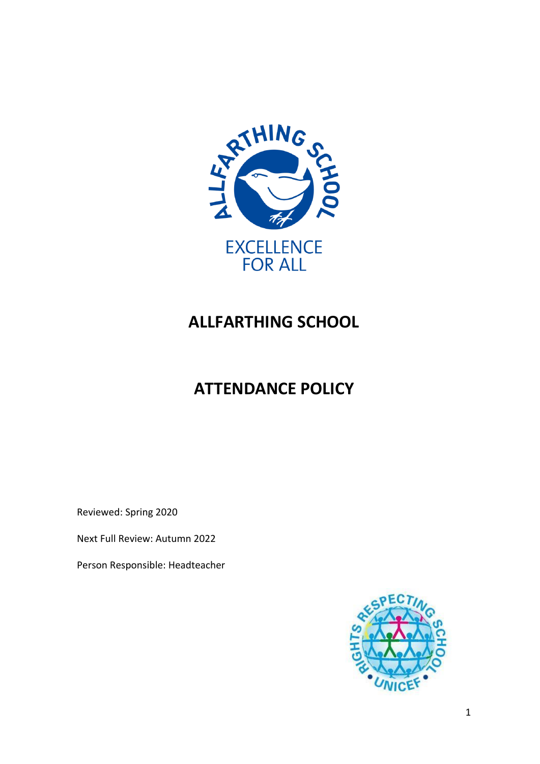

## **ALLFARTHING SCHOOL**

# **ATTENDANCE POLICY**

Reviewed: Spring 2020

Next Full Review: Autumn 2022

Person Responsible: Headteacher

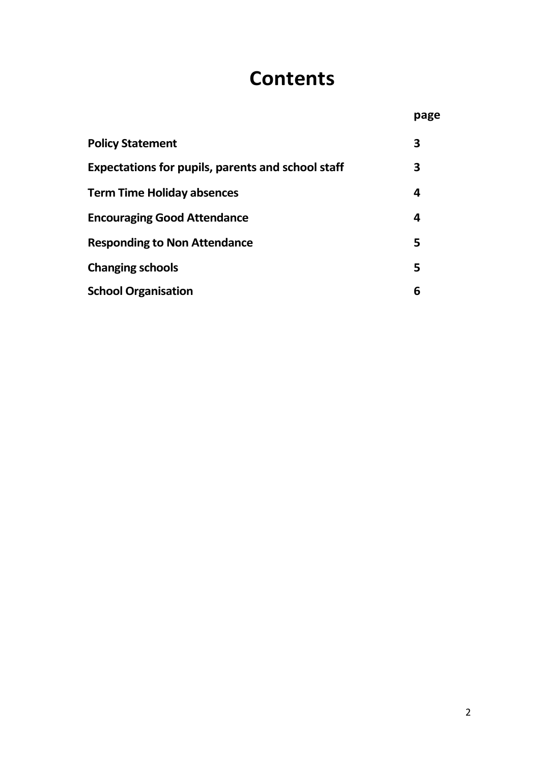# **Contents**

|                                                          | page |
|----------------------------------------------------------|------|
| <b>Policy Statement</b>                                  | 3    |
| <b>Expectations for pupils, parents and school staff</b> | 3    |
| <b>Term Time Holiday absences</b>                        | 4    |
| <b>Encouraging Good Attendance</b>                       | 4    |
| <b>Responding to Non Attendance</b>                      | 5    |
| <b>Changing schools</b>                                  | 5    |
| <b>School Organisation</b>                               | 6    |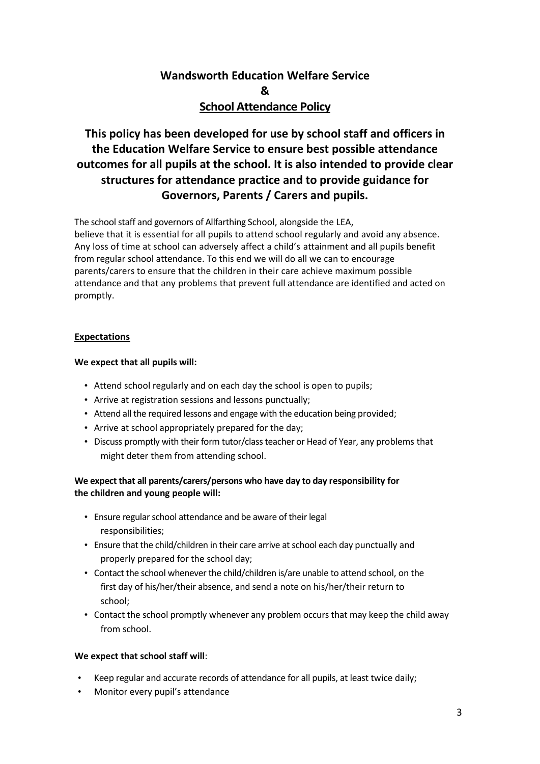### **Wandsworth Education Welfare Service & School Attendance Policy**

## **This policy has been developed for use by school staff and officers in the Education Welfare Service to ensure best possible attendance outcomes for all pupils at the school. It is also intended to provide clear structures for attendance practice and to provide guidance for Governors, Parents / Carers and pupils.**

The school staff and governors of Allfarthing School, alongside the LEA, believe that it is essential for all pupils to attend school regularly and avoid any absence. Any loss of time at school can adversely affect a child's attainment and all pupils benefit from regular school attendance. To this end we will do all we can to encourage parents/carers to ensure that the children in their care achieve maximum possible attendance and that any problems that prevent full attendance are identified and acted on promptly.

#### **Expectations**

#### **We expect that all pupils will:**

- Attend school regularly and on each day the school is open to pupils;
- Arrive at registration sessions and lessons punctually;
- Attend all the required lessons and engage with the education being provided;
- Arrive at school appropriately prepared for the day;
- Discuss promptly with their form tutor/class teacher or Head of Year, any problems that might deter them from attending school.

#### **We expect that all parents/carers/persons who have day to day responsibility for the children and young people will:**

- Ensure regular school attendance and be aware of their legal responsibilities;
- Ensure that the child/children in their care arrive at school each day punctually and properly prepared for the school day;
- Contact the school whenever the child/children is/are unable to attend school, on the first day of his/her/their absence, and send a note on his/her/their return to school;
- Contact the school promptly whenever any problem occurs that may keep the child away from school.

#### **We expect that school staff will**:

- Keep regular and accurate records of attendance for all pupils, at least twice daily;
- Monitor every pupil's attendance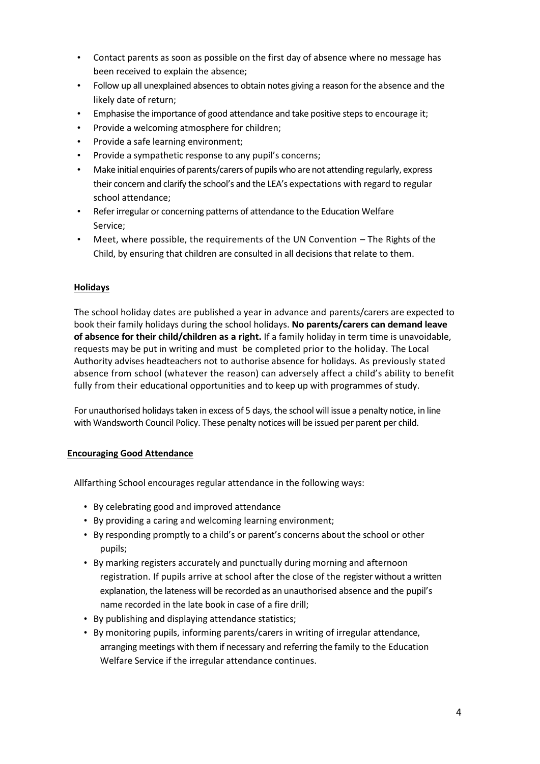- Contact parents as soon as possible on the first day of absence where no message has been received to explain the absence;
- Follow up all unexplained absences to obtain notes giving a reason for the absence and the likely date of return;
- Emphasise the importance of good attendance and take positive steps to encourage it;
- Provide a welcoming atmosphere for children;
- Provide a safe learning environment;
- Provide a sympathetic response to any pupil's concerns;
- Make initial enquiries of parents/carers of pupils who are not attending regularly, express their concern and clarify the school's and the LEA's expectations with regard to regular school attendance;
- Refer irregular or concerning patterns of attendance to the Education Welfare Service;
- Meet, where possible, the requirements of the UN Convention The Rights of the Child, by ensuring that children are consulted in all decisions that relate to them.

#### **Holidays**

The school holiday dates are published a year in advance and parents/carers are expected to book their family holidays during the school holidays. **No parents/carers can demand leave of absence for their child/children as a right.** If a family holiday in term time is unavoidable, requests may be put in writing and must be completed prior to the holiday. The Local Authority advises headteachers not to authorise absence for holidays. As previously stated absence from school (whatever the reason) can adversely affect a child's ability to benefit fully from their educational opportunities and to keep up with programmes of study.

For unauthorised holidays taken in excess of 5 days, the school will issue a penalty notice, in line with Wandsworth Council Policy. These penalty notices will be issued per parent per child.

#### **Encouraging Good Attendance**

Allfarthing School encourages regular attendance in the following ways:

- By celebrating good and improved attendance
- By providing a caring and welcoming learning environment;
- By responding promptly to a child's or parent's concerns about the school or other pupils;
- By marking registers accurately and punctually during morning and afternoon registration. If pupils arrive at school after the close of the register without a written explanation, the lateness will be recorded as an unauthorised absence and the pupil's name recorded in the late book in case of a fire drill;
- By publishing and displaying attendance statistics;
- By monitoring pupils, informing parents/carers in writing of irregular attendance, arranging meetings with them if necessary and referring the family to the Education Welfare Service if the irregular attendance continues.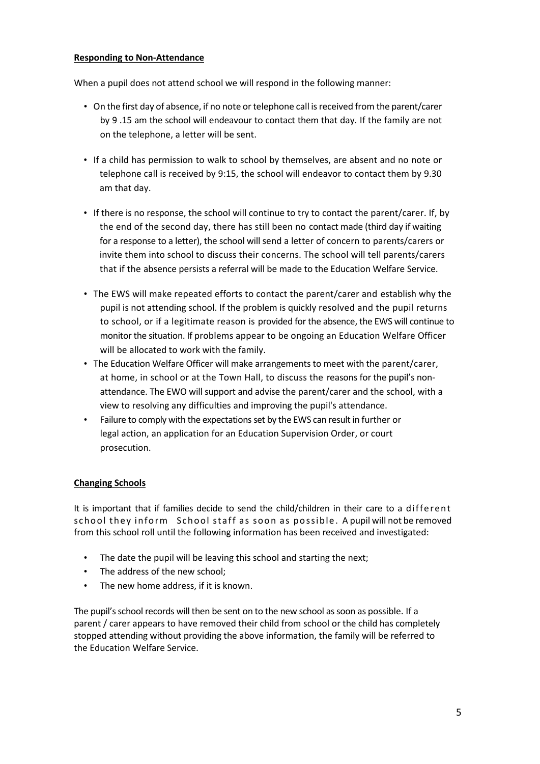#### **Responding to Non-Attendance**

When a pupil does not attend school we will respond in the following manner:

- On the first day of absence, if no note or telephone call is received from the parent/carer by 9 .15 am the school will endeavour to contact them that day. If the family are not on the telephone, a letter will be sent.
- If a child has permission to walk to school by themselves, are absent and no note or telephone call is received by 9:15, the school will endeavor to contact them by 9.30 am that day.
- If there is no response, the school will continue to try to contact the parent/carer. If, by the end of the second day, there has still been no contact made (third day if waiting for a response to a letter), the school will send a letter of concern to parents/carers or invite them into school to discuss their concerns. The school will tell parents/carers that if the absence persists a referral will be made to the Education Welfare Service.
- The EWS will make repeated efforts to contact the parent/carer and establish why the pupil is not attending school. If the problem is quickly resolved and the pupil returns to school, or if a legitimate reason is provided for the absence, the EWS will continue to monitor the situation. If problems appear to be ongoing an Education Welfare Officer will be allocated to work with the family.
- The Education Welfare Officer will make arrangements to meet with the parent/carer, at home, in school or at the Town Hall, to discuss the reasons for the pupil's nonattendance. The EWO will support and advise the parent/carer and the school, with a view to resolving any difficulties and improving the pupil's attendance.
- Failure to comply with the expectations set by the EWS can result in further or legal action, an application for an Education Supervision Order, or court prosecution.

#### **Changing Schools**

It is important that if families decide to send the child/children in their care to a different school they inform School staff as soon as possible. A pupil will not be removed from this school roll until the following information has been received and investigated:

- The date the pupil will be leaving this school and starting the next;
- The address of the new school;
- The new home address, if it is known.

The pupil's school records will then be sent on to the new school as soon as possible. If a parent / carer appears to have removed their child from school or the child has completely stopped attending without providing the above information, the family will be referred to the Education Welfare Service.